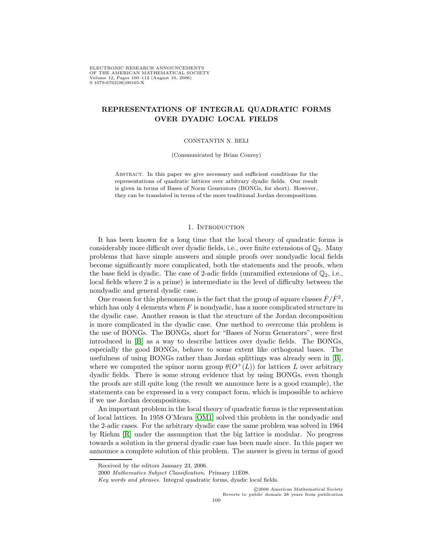ELECTRONIC RESEARCH ANNOUNCEMENTS OF THE AMERICAN MATHEMATICAL SOCIETY Volume 12, Pages 100–112 (August 10, 2006) S 1079-6762(06)00165-X

# **REPRESENTATIONS OF INTEGRAL QUADRATIC FORMS OVER DYADIC LOCAL FIELDS**

### CONSTANTIN N. BELI

(Communicated by Brian Conrey)

Abstract. In this paper we give necessary and sufficient conditions for the representations of quadratic lattices over arbitrary dyadic fields. Our result is given in terms of Bases of Norm Generators (BONGs, for short). However, they can be translated in terms of the more traditional Jordan decompositions.

### 1. Introduction

It has been known for a long time that the local theory of quadratic forms is considerably more difficult over dyadic fields, i.e., over finite extensions of  $\mathbb{Q}_2$ . Many problems that have simple answers and simple proofs over nondyadic local fields become significantly more complicated, both the statements and the proofs, when the base field is dyadic. The case of 2-adic fields (unramified extensions of  $\mathbb{Q}_2$ , i.e., local fields where 2 is a prime) is intermediate in the level of difficulty between the nondyadic and general dyadic case.

One reason for this phenomenon is the fact that the group of square classes  $\dot{F}/\dot{F}^2$ , which has only 4 elements when  $F$  is nondyadic, has a more complicated structure in the dyadic case. Another reason is that the structure of the Jordan decomposition is more complicated in the dyadic case. One method to overcome this problem is the use of BONGs. The BONGs, short for "Bases of Norm Generators", were first introduced in [\[B\]](#page-12-0) as a way to describe lattices over dyadic fields. The BONGs, especially the good BONGs, behave to some extent like orthogonal bases. The usefulness of using BONGs rather than Jordan splittings was already seen in [\[B\]](#page-12-0), where we computed the spinor norm group  $\theta(O^+(L))$  for lattices L over arbitrary dyadic fields. There is some strong evidence that by using BONGs, even though the proofs are still quite long (the result we announce here is a good example), the statements can be expressed in a very compact form, which is impossible to achieve if we use Jordan decompositions.

An important problem in the local theory of quadratic forms is the representation of local lattices. In 1958 O'Meara [\[OM1\]](#page-12-1) solved this problem in the nondyadic and the 2-adic cases. For the arbitrary dyadic case the same problem was solved in 1964 by Riehm [\[R\]](#page-12-2) under the assumption that the big lattice is modular. No progress towards a solution in the general dyadic case has been made since. In this paper we announce a complete solution of this problem. The answer is given in terms of good

Received by the editors January 23, 2006.

<sup>2000</sup> Mathematics Subject Classification. Primary 11E08.

Key words and phrases. Integral quadratic forms, dyadic local fields.

c 2006 American Mathematical Society Reverts to public domain 28 years from publication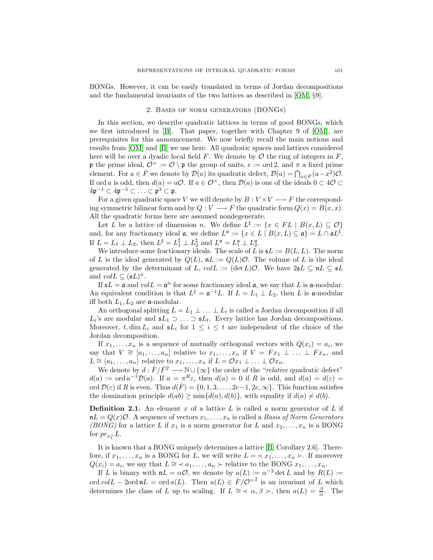BONGs. However, it can be easily translated in terms of Jordan decompositions and the fundamental invariants of the two lattices as described in [\[OM,](#page-12-3) §9].

## 2. Bases of norm generators (BONGs)

In this section, we describe quadratic lattices in terms of good BONGs, which we first introduced in [\[B\]](#page-12-0). That paper, together with Chapter 9 of [\[OM\]](#page-12-3), are prerequisites for this announcement. We now briefly recall the main notions and results from [\[OM\]](#page-12-3) and [\[B\]](#page-12-0) we use here. All quadratic spaces and lattices considered here will be over a dyadic local field F. We denote by  $\mathcal O$  the ring of integers in F, p the prime ideal,  $\mathcal{O}^{\times} := \mathcal{O} \setminus \mathfrak{p}$  the group of units,  $e := \text{ord } 2$ , and  $\pi$  a fixed prime element. For  $a \in \dot{F}$  we denote by  $\mathcal{D}(a)$  its quadratic defect,  $\mathcal{D}(a) = \bigcap_{x \in F} (a-x^2)\mathcal{O}$ . If ord a is odd, then  $d(a) = a\mathcal{O}$ . If  $a \in \mathcal{O}^{\times}$ , then  $\mathcal{D}(a)$  is one of the ideals  $0 \subset 4\mathcal{O} \subset$  $4\mathfrak{p}^{-1} \subset 4\mathfrak{p}^{-3} \subset \ldots \subset \mathfrak{p}^3 \subset \mathfrak{p}.$ 

For a given quadratic space V we will denote by  $B: V \times V \longrightarrow F$  the corresponding symmetric bilinear form and by  $Q: V \longrightarrow F$  the quadratic form  $Q(x) = B(x, x)$ . All the quadratic forms here are assumed nondegenerate.

Let L be a lattice of dimension n. We define  $L^{\sharp} := \{x \in FL \mid B(x,L) \subseteq \mathcal{O}\}\$ and, for any fractionary ideal  $\mathfrak{a}$ , we define  $L^{\mathfrak{a}} := \{x \in L \mid B(x,L) \subseteq \mathfrak{a}\} = L \cap \mathfrak{a}L^{\sharp}$ . If  $L = L_1 \perp L_2$ , then  $L^{\sharp} = L_1^{\sharp} \perp L_2^{\sharp}$  and  $L^{\mathfrak{a}} = L_1^{\mathfrak{a}} \perp L_2^{\mathfrak{a}}$ .

We introduce some fractionary ideals. The scale of L is  $\mathfrak{s}L := B(L, L)$ . The norm of L is the ideal generated by  $Q(L)$ ,  $nL := Q(L)\mathcal{O}$ . The volume of L is the ideal generated by the determinant of L,  $volL := (\det L)\mathcal{O}$ . We have  $25L \subseteq nL \subseteq 5L$ and  $volL \subseteq (\mathfrak{s}L)^n$ .

If  $\mathfrak{s}L = \mathfrak{a}$  and  $volL = \mathfrak{a}^n$  for some fractionary ideal  $\mathfrak{a}$ , we say that L is  $\mathfrak{a}$ -modular. An equivalent condition is that  $L^{\sharp} = \mathfrak{a}^{-1}L$ . If  $L = L_1 \perp L_2$ , then L is  $\mathfrak{a}$ -modular iff both  $L_1, L_2$  are **a**-modular.

An orthogonal splitting  $L = L_1 \perp ... \perp L_t$  is called a Jordan decomposition if all  $L_i$ 's are modular and  $\mathfrak{s}L_1 \supset \ldots \supset \mathfrak{s}L_t$ . Every lattice has Jordan decompositions. Moreover, t, dim  $L_i$  and  $\mathfrak{s}L_i$  for  $1 \leq i \leq t$  are independent of the choice of the Jordan decomposition.

If  $x_1, \ldots, x_n$  is a sequence of mutually orthogonal vectors with  $Q(x_i) = a_i$ , we say that  $V \cong [a_1,\ldots,a_n]$  relative to  $x_1,\ldots,x_n$  if  $V = F x_1 \perp \ldots \perp F x_n$ , and  $L \cong \langle a_1, \ldots, a_n \rangle$  relative to  $x_1, \ldots, x_n$  if  $L = \mathcal{O}x_1 \perp \ldots \perp \mathcal{O}x_n$ .

We denote by  $d : \dot{F}/\dot{F}^2 \longrightarrow \mathbb{N} \cup {\infty}$  the order of the "relative quadratic defect"  $d(a) := \text{ord } a^{-1} \mathcal{D}(a)$ . If  $a = \pi^R \varepsilon$ , then  $d(a) = 0$  if R is odd, and  $d(a) = d(\varepsilon) =$ ord  $\mathcal{D}(\varepsilon)$  if R is even. Thus  $d(F) = \{0, 1, 3, \ldots, 2e-1, 2e, \infty\}$ . This function satisfies the domination principle  $d(ab) \ge \min\{d(a), d(b)\}\text{, with equality if } d(a) \ne d(b).$ 

**Definition 2.1.** An element x of a lattice  $L$  is called a norm generator of  $L$  if  $nL = Q(x)\mathcal{O}$ . A sequence of vectors  $x_1, \ldots, x_n$  is called a *Basis of Norm Generators* (BONG) for a lattice L if  $x_1$  is a norm generator for L and  $x_2, \ldots, x_n$  is a BONG for  $pr_{x_1^{\perp}}L$ .

It is known that a BONG uniquely determines a lattice [\[B,](#page-12-0) Corollary 2.6]. Therefore, if  $x_1, \ldots, x_n$  is a BONG for L, we will write  $L = \langle x_1, \ldots, x_n \rangle$ . If moreover  $Q(x_i) = a_i$ , we say that  $L \cong \langle a_1, \ldots, a_n \rangle$  relative to the BONG  $x_1, \ldots, x_n$ .

If L is binary with  $nL = \alpha \mathcal{O}$ , we denote by  $a(L) := \alpha^{-2} \det L$  and by  $R(L) :=$ ord volL – 2ord  $nL$  = ord  $a(L)$ . Then  $a(L) \in F/{\mathcal{O}}^{\times 2}$  is an invariant of L which determines the class of L up to scaling. If  $L \cong \langle \alpha, \beta \rangle$ , then  $a(L) = \frac{\beta}{\alpha}$ . The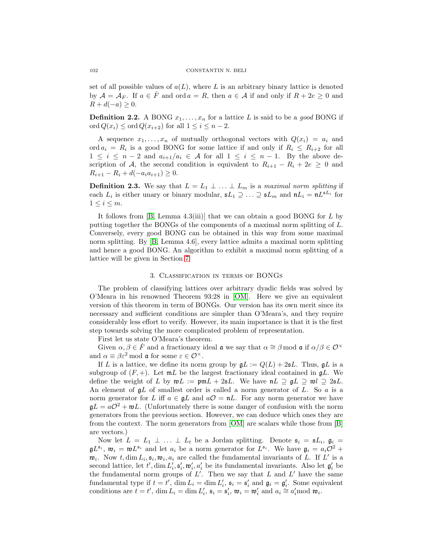set of all possible values of  $a(L)$ , where L is an arbitrary binary lattice is denoted by  $A = A_F$ . If  $a \in F$  and ord  $a = R$ , then  $a \in A$  if and only if  $R + 2e \ge 0$  and  $R + d(-a) \geq 0.$ 

**Definition 2.2.** A BONG  $x_1, \ldots, x_n$  for a lattice L is said to be a good BONG if ord  $Q(x_i) \leq \text{ord } Q(x_{i+2})$  for all  $1 \leq i \leq n-2$ .

A sequence  $x_1, \ldots, x_n$  of mutually orthogonal vectors with  $Q(x_i) = a_i$  and ord  $a_i = R_i$  is a good BONG for some lattice if and only if  $R_i \leq R_{i+2}$  for all  $1 \leq i \leq n-2$  and  $a_{i+1}/a_i \in \mathcal{A}$  for all  $1 \leq i \leq n-1$ . By the above description of A, the second condition is equivalent to  $R_{i+1} - R_i + 2e \geq 0$  and  $R_{i+1} - R_i + d(-a_i a_{i+1}) \geq 0.$ 

**Definition 2.3.** We say that  $L = L_1 \perp ... \perp L_m$  is a maximal norm splitting if each  $L_i$  is either unary or binary modular,  $\mathfrak{s}L_1 \supseteq \ldots \supseteq \mathfrak{s}L_m$  and  $\mathfrak{n}L_i = \mathfrak{n}L^{\mathfrak{s}L_i}$  for  $1 \leq i \leq m$ .

It follows from [\[B,](#page-12-0) Lemma 4.3(iii)] that we can obtain a good BONG for  $L$  by putting together the BONGs of the components of a maximal norm splitting of L. Conversely, every good BONG can be obtained in this way from some maximal norm splitting. By [\[B,](#page-12-0) Lemma 4.6], every lattice admits a maximal norm splitting and hence a good BONG. An algorithm to exhibit a maximal norm splitting of a lattice will be given in Section [7.](#page-9-0)

### 3. Classification in terms of BONGs

The problem of classifying lattices over arbitrary dyadic fields was solved by O'Meara in his renowned Theorem 93:28 in [\[OM\]](#page-12-3). Here we give an equivalent version of this theorem in term of BONGs. Our version has its own merit since its necessary and sufficient conditions are simpler than O'Meara's, and they require considerably less effort to verify. However, its main importance is that it is the first step towards solving the more complicated problem of representation.

First let us state O'Meara's theorem.

Given  $\alpha, \beta \in \dot{F}$  and a fractionary ideal  $\mathfrak{a}$  we say that  $\alpha \cong \beta$  mod  $\mathfrak{a}$  if  $\alpha/\beta \in \mathcal{O}^{\times}$ and  $\alpha \equiv \beta \varepsilon^2 \mod \mathfrak{a}$  for some  $\varepsilon \in \mathcal{O}^\times$ .

If L is a lattice, we define its norm group by  $\not{gl} := Q(L) + 2\mathfrak{s}L$ . Thus,  $\mathfrak{g}L$  is a subgroup of  $(F, +)$ . Let  $mL$  be the largest fractionary ideal contained in  $\not L$ . We define the weight of L by  $\mathfrak{w}L := \mathfrak{p}\mathfrak{m}L + 2\mathfrak{s}L$ . We have  $\mathfrak{n}L \supseteq \mathfrak{g}L \supseteq \mathfrak{w}l \supseteq 2\mathfrak{s}L$ . An element of  $\mathfrak{g}L$  of smallest order is called a norm generator of L. So a is a norm generator for L iff  $a \in \mathfrak{g}L$  and  $a\mathcal{O} = \mathfrak{n}L$ . For any norm generator we have  $\n  $\mathfrak{g}L = a\mathcal{O}^2 + \mathfrak{w}L$ . (Unfortunately there is some danger of confusion with the norm$ generators from the previous section. However, we can deduce which ones they are from the context. The norm generators from [\[OM\]](#page-12-3) are scalars while those from [\[B\]](#page-12-0) are vectors.)

Now let  $L = L_1 \perp ... \perp L_t$  be a Jordan splitting. Denote  $\mathfrak{s}_i = \mathfrak{s}L_i$ ,  $\mathfrak{g}_i =$  $\n *gl*<sup>*s<sub>i</sub>*</sup>, *w<sub>i</sub>* = *w*<sup>*Ls<sub>i</sub>*</sup> and let  $a_i$  be a norm generator for  $L^{s_i}$ . We have  $\mathfrak{g}_i = a_i \mathcal{O}^2 +$$  $\mathfrak{w}_i$ . Now  $t, \dim L_i, \mathfrak{s}_i, \mathfrak{w}_i, a_i$  are called the fundamental invariants of L. If L' is a second lattice, let  $t'$ , dim  $L'_i$ ,  $\mathfrak{s}'_i$ ,  $\mathfrak{w}'_i$ ,  $a'_i$  be its fundamental invariants. Also let  $\mathfrak{g}'_i$  be the fundamental norm groups of  $L'$ . Then we say that  $L$  and  $L'$  have the same fundamental type if  $t = t'$ , dim  $L_i = \dim L'_i$ ,  $\mathfrak{s}_i = \mathfrak{s}'_i$  and  $\mathfrak{g}_i = \mathfrak{g}'_i$ . Some equivalent conditions are  $t = t'$ ,  $\dim L_i = \dim L'_i$ ,  $\mathfrak{s}_i = \mathfrak{s}'_i$ ,  $\mathfrak{w}_i = \mathfrak{w}'_i$  and  $a_i \cong a'_i \mod \mathfrak{w}_i$ .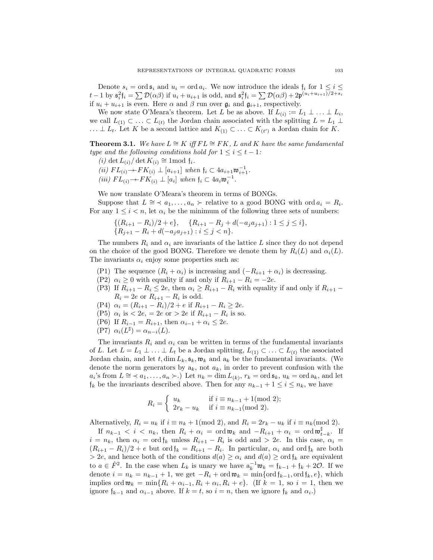Denote  $s_i = \text{ord } \mathfrak{s}_i$  and  $u_i = \text{ord } a_i$ . We now introduce the ideals  $\mathfrak{f}_i$  for  $1 \leq i \leq i$ t − 1 by  $\mathfrak{s}_i^2 \mathfrak{f}_i = \sum \mathcal{D}(\alpha \beta)$  if  $u_i + u_{i+1}$  is odd, and  $\mathfrak{s}_i^2 \mathfrak{f}_i = \sum \mathcal{D}(\alpha \beta) + 2\mathfrak{p}^{(u_i + u_{i+1})/2 + s_i}$ if  $u_i + u_{i+1}$  is even. Here  $\alpha$  and  $\beta$  run over  $\mathfrak{g}_i$  and  $\mathfrak{g}_{i+1}$ , respectively.

We now state O'Meara's theorem. Let L be as above. If  $L_{(i)} := L_1 \perp ... \perp L_i$ , we call  $L_{(1)} \subset \ldots \subset L_{(t)}$  the Jordan chain associated with the splitting  $L = L_1 \perp$  $\ldots \perp L_t$ . Let K be a second lattice and  $K_{(1)} \subset \ldots \subset K_{(t')}$  a Jordan chain for K.

**Theorem 3.1.** We have  $L \cong K$  iff  $FL \cong FK$ , L and K have the same fundamental type and the following conditions hold for  $1 \leq i \leq t - 1$ :

- (i) det  $L_{(i)}$ / det  $K_{(i)} \cong 1 \text{ mod } f_i$ .
- (ii)  $FL_{(i)} \rightarrow FK_{(i)} \perp [a_{i+1}]$  when  $\mathfrak{f}_i \subset 4a_{i+1}\mathfrak{w}_{i+1}^{-1}$ .
- (iii)  $FL_{(i)} \rightarrow FK_{(i)} \perp [a_i]$  when  $\mathfrak{f}_i \subset 4a_i \mathfrak{w}_i^{-1}$ .

We now translate O'Meara's theorem in terms of BONGs.

Suppose that  $L \cong \langle a_1, \ldots, a_n \rangle$  relative to a good BONG with ord  $a_i = R_i$ . For any  $1 \leq i \leq n$ , let  $\alpha_i$  be the minimum of the following three sets of numbers:

$$
\{(R_{i+1} - R_i)/2 + e\}, \{R_{i+1} - R_j + d(-a_j a_{j+1}) : 1 \le j \le i\},\
$$
  

$$
\{R_{j+1} - R_i + d(-a_j a_{j+1}) : i \le j < n\}.
$$

The numbers  $R_i$  and  $\alpha_i$  are invariants of the lattice L since they do not depend on the choice of the good BONG. Therefore we denote them by  $R_i(L)$  and  $\alpha_i(L)$ . The invariants  $\alpha_i$  enjoy some properties such as:

- (P1) The sequence  $(R_i + \alpha_i)$  is increasing and  $(-R_{i+1} + \alpha_i)$  is decreasing.
- (P2)  $\alpha_i \geq 0$  with equality if and only if  $R_{i+1} R_i = -2e$ .
- (P3) If  $R_{i+1} R_i \le 2e$ , then  $\alpha_i \ge R_{i+1} R_i$  with equality if and only if  $R_{i+1}$   $R_i = 2e$  or  $R_{i+1} - R_i$  is odd.
- (P4)  $\alpha_i = (R_{i+1} R_i)/2 + e$  if  $R_{i+1} R_i \geq 2e$ .
- (P5)  $\alpha_i$  is  $\lt 2e$ ,  $= 2e$  or  $> 2e$  if  $R_{i+1} R_i$  is so.
- (P6) If  $R_{i-1} = R_{i+1}$ , then  $\alpha_{i-1} + \alpha_i \leq 2e$ .
- (P7)  $\alpha_i(L^{\sharp}) = \alpha_{n-i}(L)$ .

The invariants  $R_i$  and  $\alpha_i$  can be written in terms of the fundamental invariants of L. Let  $L = L_1 \perp ... \perp L_t$  be a Jordan splitting,  $L_{(1)} \subset ... \subset L_{(t)}$  the associated Jordan chain, and let  $t, \dim L_k, \mathfrak{s}_k, \mathfrak{w}_k$  and  $a_k$  be the fundamental invariants. (We denote the norm generators by  $a_k$ , not  $a_k$ , in order to prevent confusion with the  $a_i$ 's from  $L \cong \langle a_1,\ldots,a_n \rangle$ . Let  $n_k = \dim L_{(k)}, r_k = \text{ord } \mathfrak{s}_k, u_k = \text{ord } a_k$ , and let  $f_k$  be the invariants described above. Then for any  $n_{k-1} + 1 \leq i \leq n_k$ , we have

$$
R_i = \begin{cases} u_k & \text{if } i \equiv n_{k-1} + 1 \pmod{2}; \\ 2r_k - u_k & \text{if } i \equiv n_{k-1} \pmod{2}. \end{cases}
$$

Alternatively,  $R_i = u_k$  if  $i \equiv n_k + 1 \pmod{2}$ , and  $R_i = 2r_k - u_k$  if  $i \equiv n_k \pmod{2}$ .

If  $n_{k-1} < i < n_k$ , then  $R_i + \alpha_i = \text{ord}\,\mathfrak{w}_k$  and  $-R_{i+1} + \alpha_i = \text{ord}\,\mathfrak{w}_{t-k}^{\sharp}$ . If  $i = n_k$ , then  $\alpha_i = \text{ord } \mathfrak{f}_k$  unless  $R_{i+1} - R_i$  is odd and > 2e. In this case,  $\alpha_i =$  $(R_{i+1} - R_i)/2 + e$  but ord  $f_k = R_{i+1} - R_i$ . In particular,  $\alpha_i$  and ord  $f_k$  are both > 2e, and hence both of the conditions  $d(a) \geq \alpha_i$  and  $d(a) \geq \text{ord } f_k$  are equivalent to  $a \in \dot{F}^2$ . In the case when  $L_k$  is unary we have  $a_k^{-1} \mathfrak{w}_k = \mathfrak{f}_{k-1} + \mathfrak{f}_k + 2\mathcal{O}$ . If we denote  $i = n_k = n_{k-1} + 1$ , we get  $-R_i + \text{ord } \mathfrak{w}_k = \min\{\text{ord } \mathfrak{f}_{k-1}, \text{ord } \mathfrak{f}_k, e\}$ , which implies ord  $\mathfrak{w}_k = \min\{R_i + \alpha_{i-1}, R_i + \alpha_i, R_i + e\}$ . (If  $k = 1$ , so  $i = 1$ , then we ignore  $\mathfrak{f}_{k-1}$  and  $\alpha_{i-1}$  above. If  $k = t$ , so  $i = n$ , then we ignore  $\mathfrak{f}_k$  and  $\alpha_i$ .)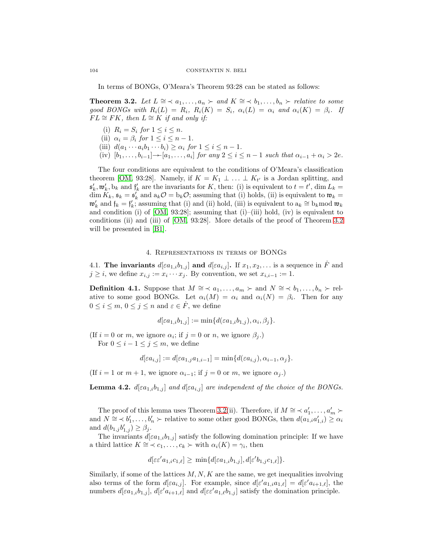In terms of BONGs, O'Meara's Theorem 93:28 can be stated as follows:

<span id="page-4-0"></span>**Theorem 3.2.** Let  $L \cong \langle a_1, \ldots, a_n \rangle$  and  $K \cong \langle b_1, \ldots, b_n \rangle$  relative to some good BONGs with  $R_i(L) = R_i$ ,  $R_i(K) = S_i$ ,  $\alpha_i(L) = \alpha_i$  and  $\alpha_i(K) = \beta_i$ . If  $FL \cong FK$ , then  $L \cong K$  if and only if:

- (i)  $R_i = S_i$  for  $1 \leq i \leq n$ .
- (ii)  $\alpha_i = \beta_i$  for  $1 \leq i \leq n-1$ .
- (iii)  $d(a_1 \cdots a_i b_1 \cdots b_i) \geq \alpha_i$  for  $1 \leq i \leq n-1$ .
- (iv)  $[b_1,\ldots,b_{i-1}]\rightarrow [a_1,\ldots,a_i]$  for any  $2 \leq i \leq n-1$  such that  $\alpha_{i-1}+\alpha_i > 2e$ .

The four conditions are equivalent to the conditions of O'Meara's classification theorem [\[OM,](#page-12-3) 93:28]. Namely, if  $K = K_1 \perp ... \perp K_{t'}$  is a Jordan splitting, and  $\mathfrak{s}'_k, \mathfrak{w}'_k, b_k$  and  $\mathfrak{f}'_k$  are the invariants for K, then: (i) is equivalent to  $t = t'$ , dim  $L_k =$  $\dim K_k$ ,  $\mathfrak{s}_k = \mathfrak{s}'_k$  and  $a_k \mathcal{O} = b_k \mathcal{O}$ ; assuming that (i) holds, (ii) is equivalent to  $\mathfrak{w}_k =$  $\mathfrak{w}'_k$  and  $\mathfrak{f}_k = \mathfrak{f}'_k$ ; assuming that (i) and (ii) hold, (iii) is equivalent to  $a_k \cong b_k \mod \mathfrak{w}_k$ and condition (i) of  $[OM, 93:28]$  $[OM, 93:28]$ ; assuming that  $(i)$ –(iii) hold, (iv) is equivalent to conditions (ii) and (iii) of [\[OM,](#page-12-3) 93:28]. More details of the proof of Theorem [3.2](#page-4-0) will be presented in [\[B1\]](#page-12-4).

# 4. Representations in terms of BONGs

<span id="page-4-2"></span>4.1. **The invariants**  $d[\epsilon a_{1,i}b_{1,j}]$  and  $d[\epsilon a_{i,j}]$ . If  $x_1, x_2, \ldots$  is a sequence in F and  $j \geq i$ , we define  $x_{i,j} := x_i \cdots x_j$ . By convention, we set  $x_{i,i-1} := 1$ .

**Definition 4.1.** Suppose that  $M \cong \langle a_1, \ldots, a_m \rangle$  and  $N \cong \langle b_1, \ldots, b_n \rangle$  relative to some good BONGs. Let  $\alpha_i(M) = \alpha_i$  and  $\alpha_i(N) = \beta_i$ . Then for any  $0 \leq i \leq m, 0 \leq j \leq n$  and  $\varepsilon \in \overline{F}$ , we define

$$
d[\varepsilon a_{1,i}b_{1,j}] := \min\{d(\varepsilon a_{1,i}b_{1,j}), \alpha_i, \beta_j\}.
$$

(If  $i = 0$  or m, we ignore  $\alpha_i$ ; if  $j = 0$  or n, we ignore  $\beta_i$ .) For  $0 \leq i-1 \leq j \leq m$ , we define

$$
d[\varepsilon a_{i,j}] := d[\varepsilon a_{1,j}a_{1,i-1}] = \min\{d(\varepsilon a_{i,j}), \alpha_{i-1}, \alpha_j\}.
$$

(If  $i = 1$  or  $m + 1$ , we ignore  $\alpha_{i-1}$ ; if  $j = 0$  or m, we ignore  $\alpha_i$ .)

<span id="page-4-1"></span>**Lemma 4.2.**  $d[\epsilon a_{1,i}b_{1,j}]$  and  $d[\epsilon a_{i,j}]$  are independent of the choice of the BONGs.

The proof of this lemma uses Theorem [3.2\(](#page-4-0)ii). Therefore, if  $M \cong \langle a'_1, \ldots, a'_m \rangle$ and  $N \cong \langle b'_1,\ldots,b'_n \rangle$  relative to some other good BONGs, then  $d(a_{1,i}a'_{1,i}) \geq \alpha_i$ and  $d(b_{1,j}b'_{1,j}) \geq \beta_j$ .

The invariants  $d[ea_{1,i}b_{1,j}]$  satisfy the following domination principle: If we have a third lattice  $K \cong \langle c_1,\ldots,c_k\rangle$  with  $\alpha_i(K) = \gamma_i$ , then

$$
d[\varepsilon \varepsilon' a_{1,i} c_{1,\ell}] \ge \min\{d[\varepsilon a_{1,i} b_{1,j}], d[\varepsilon' b_{1,j} c_{1,\ell}]\}.
$$

Similarly, if some of the lattices  $M, N, K$  are the same, we get inequalities involving also terms of the form  $d[\epsilon a_{i,j}]$ . For example, since  $d[\epsilon' a_{1,i} a_{1,\ell}] = d[\epsilon' a_{i+1,\ell}]$ , the numbers  $d[\epsilon a_{1,i}b_{1,j}], d[\epsilon' a_{i+1,\ell}]$  and  $d[\epsilon \epsilon' a_{1,\ell}b_{1,j}]$  satisfy the domination principle.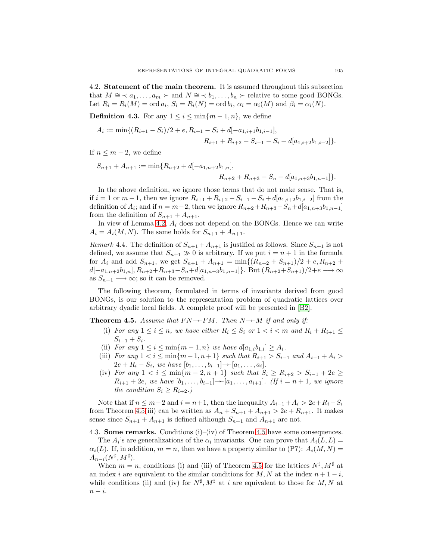4.2. **Statement of the main theorem.** It is assumed throughout this subsection that  $M \cong \langle a_1,\ldots,a_m\rangle$  and  $N \cong \langle b_1,\ldots,b_n\rangle$  relative to some good BONGs. Let  $R_i = R_i(M) = \text{ord } a_i, S_i = R_i(N) = \text{ord } b_i, \alpha_i = \alpha_i(M) \text{ and } \beta_i = \alpha_i(N).$ 

<span id="page-5-1"></span>**Definition 4.3.** For any  $1 \leq i \leq \min\{m-1, n\}$ , we define

$$
A_i := \min\{(R_{i+1} - S_i)/2 + e, R_{i+1} - S_i + d[-a_{1,i+1}b_{1,i-1}],
$$
  

$$
R_{i+1} + R_{i+2} - S_{i-1} - S_i + d[a_{1,i+2}b_{1,i-2}]\}.
$$

If  $n \leq m-2$ , we define

$$
S_{n+1} + A_{n+1} := \min\{R_{n+2} + d[-a_{1,n+2}b_{1,n}],
$$
  

$$
R_{n+2} + R_{n+3} - S_n + d[a_{1,n+3}b_{1,n-1}]\}.
$$

In the above definition, we ignore those terms that do not make sense. That is, if  $i = 1$  or  $m - 1$ , then we ignore  $R_{i+1} + R_{i+2} - S_{i-1} - S_i + d[a_{1,i+2}b_{1,i-2}]$  from the definition of  $A_i$ ; and if  $n = m-2$ , then we ignore  $R_{n+2}+R_{n+3}-S_n+d[a_{1,n+3}b_{1,n-1}]$ from the definition of  $S_{n+1} + A_{n+1}$ .

In view of Lemma [4.2,](#page-4-1)  $A_i$  does not depend on the BONGs. Hence we can write  $A_i = A_i(M, N)$ . The same holds for  $S_{n+1} + A_{n+1}$ .

Remark 4.4. The definition of  $S_{n+1} + A_{n+1}$  is justified as follows. Since  $S_{n+1}$  is not defined, we assume that  $S_{n+1} \gg 0$  is arbitrary. If we put  $i = n + 1$  in the formula for  $A_i$  and add  $S_{n+1}$ , we get  $S_{n+1} + A_{n+1} = \min\{(R_{n+2} + S_{n+1})/2 + e, R_{n+2} + \cdots\}$  $d[-a_{1,n+2}b_{1,n}], R_{n+2}+R_{n+3}-S_n+d[a_{1,n+3}b_{1,n-1}]\}$ . But  $(R_{n+2}+S_{n+1})/2+e \longrightarrow \infty$ as  $S_{n+1} \longrightarrow \infty$ ; so it can be removed.

The following theorem, formulated in terms of invariants derived from good BONGs, is our solution to the representation problem of quadratic lattices over arbitrary dyadic local fields. A complete proof will be presented in [\[B2\]](#page-12-5).

<span id="page-5-0"></span>**Theorem 4.5.** Assume that  $FN \rightarrow FM$ . Then  $N \rightarrow M$  if and only if:

- (i) For any  $1 \leq i \leq n$ , we have either  $R_i \leq S_i$  or  $1 < i < m$  and  $R_i + R_{i+1} \leq n$  $S_{i-1} + S_i$ .
- (ii) For any  $1 \le i \le \min\{m-1, n\}$  we have  $d[a_{1,i}b_{1,i}] \ge A_i$ .
- (iii) For any  $1 < i \leq \min\{m-1, n+1\}$  such that  $R_{i+1} > S_{i-1}$  and  $A_{i-1} + A_i >$  $2e + R_i - S_i$ , we have  $[b_1, \ldots, b_{i-1}] \rightarrow [a_1, \ldots, a_i]$ .
- (iv) For any  $1 < i \leq \min\{m-2, n+1\}$  such that  $S_i \geq R_{i+2} > S_{i-1} + 2e \geq$  $R_{i+1} + 2e$ , we have  $[b_1, \ldots, b_{i-1}] \rightarrow [a_1, \ldots, a_{i+1}]$ . (If  $i = n + 1$ , we ignore the condition  $S_i > R_{i+2}$ .

Note that if  $n \leq m-2$  and  $i = n+1$ , then the inequality  $A_{i-1}+A_i > 2e+R_i-S_i$ from Theorem [4.5\(](#page-5-0)iii) can be written as  $A_n + S_{n+1} + A_{n+1} > 2e + R_{n+1}$ . It makes sense since  $S_{n+1} + A_{n+1}$  is defined although  $S_{n+1}$  and  $A_{n+1}$  are not.

4.3. **Some remarks.** Conditions  $(i)$ –(iv) of Theorem [4.5](#page-5-0) have some consequences. The  $A_i$ 's are generalizations of the  $\alpha_i$  invariants. One can prove that  $A_i(L, L) =$ 

 $\alpha_i(L)$ . If, in addition,  $m = n$ , then we have a property similar to (P7):  $A_i(M, N) =$  $A_{n-i}(N^{\sharp}, M^{\sharp}).$ 

<span id="page-5-2"></span>When  $m = n$ , conditions (i) and (iii) of Theorem [4.5](#page-5-0) for the lattices  $N^{\sharp}, M^{\sharp}$  at an index i are equivalent to the similar conditions for  $M, N$  at the index  $n + 1 - i$ , while conditions (ii) and (iv) for  $N^{\sharp}, M^{\sharp}$  at i are equivalent to those for M, N at  $n - i$ .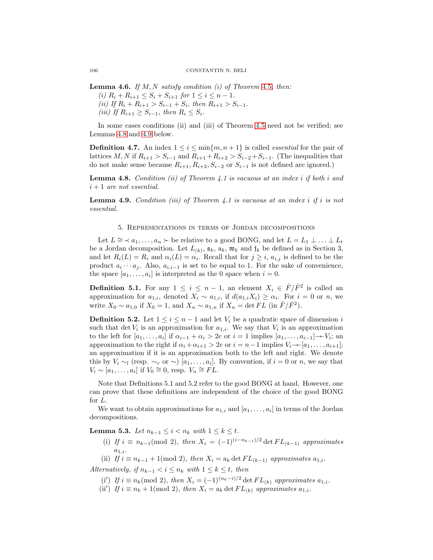**Lemma 4.6.** If  $M, N$  satisfy condition (i) of Theorem [4.5](#page-5-0), then: (i)  $R_i + R_{i+1} \leq S_i + S_{i+1}$  for  $1 \leq i \leq n-1$ . (ii) If  $R_i + R_{i+1} > S_{i-1} + S_i$ , then  $R_{i+1} > S_{i-1}$ . (iii) If  $R_{i+1} \geq S_{i-1}$ , then  $R_i \leq S_i$ .

In some cases conditions (ii) and (iii) of Theorem [4.5](#page-5-0) need not be verified; see Lemmas [4.8](#page-6-0) and [4.9](#page-6-1) below.

**Definition 4.7.** An index  $1 \leq i \leq \min\{m, n+1\}$  is called *essential* for the pair of lattices  $M, N$  if  $R_{i+1} > S_{i-1}$  and  $R_{i+1} + R_{i+2} > S_{i-2} + S_{i-1}$ . (The inequalities that do not make sense because  $R_{i+1}, R_{i+2}, S_{i-2}$  or  $S_{i-1}$  is not defined are ignored.)

<span id="page-6-0"></span>**Lemma 4.8.** Condition (ii) of Theorem 4.1 is vacuous at an index  $i$  if both  $i$  and  $i+1$  are not essential.

<span id="page-6-1"></span>**Lemma 4.9.** Condition (iii) of Theorem 4.1 is vacuous at an index i if i is not essential.

### 5. Representations in terms of Jordan decompositions

Let  $L \cong \langle a_1, \ldots, a_n \rangle$  be relative to a good BONG, and let  $L = L_1 \perp \ldots \perp L_t$ be a Jordan decomposition. Let  $L_{(k)}$ ,  $\mathfrak{s}_k$ ,  $\mathfrak{a}_k$ ,  $\mathfrak{w}_k$  and  $\mathfrak{f}_k$  be defined as in Section 3, and let  $R_i(L) = R_i$  and  $\alpha_i(L) = \alpha_i$ . Recall that for  $j \geq i$ ,  $a_{i,j}$  is defined to be the product  $a_i \cdots a_j$ . Also,  $a_{i,i-1}$  is set to be equal to 1. For the sake of convenience, the space  $[a_1,\ldots,a_i]$  is interpreted as the 0 space when  $i=0$ .

**Definition 5.1.** For any  $1 \leq i \leq n-1$ , an element  $X_i \in \dot{F}/\dot{F}^2$  is called an approximation for  $a_{1,i}$ , denoted  $X_i \sim a_{1,i}$ , if  $d(a_{1,i}X_i) \geq \alpha_i$ . For  $i = 0$  or n, we write  $X_0 \sim a_{1,0}$  if  $X_0 = 1$ , and  $X_n \sim a_{1,n}$  if  $X_n = \det FL$  (in  $\dot{F}/\dot{F}^2$ ).

**Definition 5.2.** Let  $1 \leq i \leq n-1$  and let  $V_i$  be a quadratic space of dimension i such that det  $V_i$  is an approximation for  $a_{1,i}$ . We say that  $V_i$  is an approximation to the left for  $[a_1,\ldots,a_i]$  if  $\alpha_{i-1} + \alpha_i > 2e$  or  $i = 1$  implies  $[a_1,\ldots,a_{i-1}] \rightarrow V_i$ ; an approximation to the right if  $\alpha_i + \alpha_{i+1} > 2e$  or  $i = n-1$  implies  $V_i \rightarrow [a_1, \ldots, a_{i+1}]$ ; an approximation if it is an approximation both to the left and right. We denote this by  $V_i \sim_l (resp. \sim_r or \sim) [a_1, \ldots, a_i]$ . By convention, if  $i = 0$  or n, we say that  $V_i \sim [a_1,\ldots,a_i]$  if  $V_0 \cong 0$ , resp.  $V_n \cong FL$ .

Note that Definitions 5.1 and 5.2 refer to the good BONG at hand. However, one can prove that these definitions are independent of the choice of the good BONG for L.

We want to obtain approximations for  $a_{1,i}$  and  $[a_1,\ldots,a_i]$  in terms of the Jordan decompositions.

**Lemma 5.3.** Let  $n_{k-1} \leq i \leq n_k$  with  $1 \leq k \leq t$ .

(i) If  $i \equiv n_{k-1} \pmod{2}$ , then  $X_i = (-1)^{(i-n_{k-1})/2} \det FL_{(k-1)}$  approximates  $a_{1,i}$ .

(ii) If  $i \equiv n_{k-1} + 1 \pmod{2}$ , then  $X_i = a_k \det FL_{(k-1)}$  approximates  $a_{1,i}$ .

Alternatively, if  $n_{k-1} < i \leq n_k$  with  $1 \leq k \leq t$ , then

- (i') If  $i \equiv n_k \pmod{2}$ , then  $X_i = (-1)^{(n_k i)/2} \det FL_{(k)}$  approximates  $a_{1,i}$ .
- (ii') If  $i \equiv n_k + 1 \pmod{2}$ , then  $X_i = a_k \det FL_{(k)}$  approximates  $a_{1,i}$ .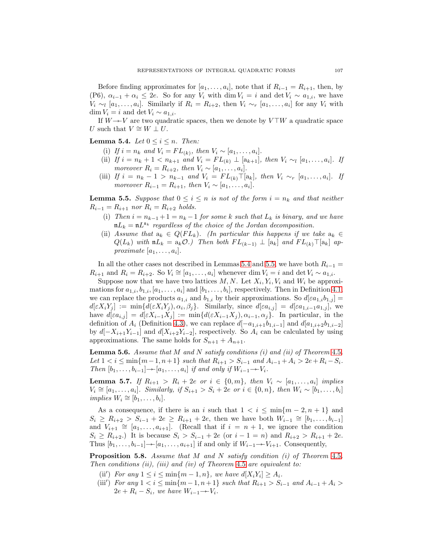Before finding approximates for  $[a_1,\ldots,a_i]$ , note that if  $R_{i-1} = R_{i+1}$ , then, by (P6),  $\alpha_{i-1} + \alpha_i \leq 2e$ . So for any  $V_i$  with dim  $V_i = i$  and det  $V_i \sim a_{1,i}$ , we have  $V_i \sim_l [a_1,\ldots,a_i]$ . Similarly if  $R_i = R_{i+2}$ , then  $V_i \sim_r [a_1,\ldots,a_i]$  for any  $V_i$  with dim  $V_i = i$  and det  $V_i \sim a_{1,i}$ .

<span id="page-7-0"></span>If  $W \rightarrow V$  are two quadratic spaces, then we denote by  $V \top W$  a quadratic space U such that  $V \cong W \perp U$ .

**Lemma 5.4.** Let  $0 \leq i \leq n$ . Then:

- (i) If  $i = n_k$  and  $V_i = FL_{(k)}$ , then  $V_i \sim [a_1, \ldots, a_i]$ .
- (ii) If  $i = n_k + 1 < n_{k+1}$  and  $V_i = FL_{(k)} \perp [a_{k+1}]$ , then  $V_i \sim_l [a_1, \ldots, a_i]$ . If moreover  $R_i = R_{i+2}$ , then  $V_i \sim [a_1, \ldots, a_i]$ .
- (iii) If  $i = n_k 1 > n_{k-1}$  and  $V_i = FL_{(k)}\top[a_k]$ , then  $V_i \sim_r [a_1, \ldots, a_i]$ . If moreover  $R_{i-1} = R_{i+1}$ , then  $V_i \sim [a_1, \ldots, a_i]$ .

<span id="page-7-1"></span>**Lemma 5.5.** Suppose that  $0 \leq i \leq n$  is not of the form  $i = n_k$  and that neither  $R_{i-1} = R_{i+1}$  nor  $R_i = R_{i+2}$  holds.

- (i) Then  $i = n_{k-1} + 1 = n_k 1$  for some k such that  $L_k$  is binary, and we have  $nL_k = nL^{s_k}$  regardless of the choice of the Jordan decomposition.
- (ii) Assume that  $a_k \in Q(FL_k)$ . (In particular this happens if we take  $a_k \in$  $Q(L_k)$  with  $\mathfrak{n}L_k = \mathfrak{a}_k \mathcal{O}$ .) Then both  $FL_{(k-1)} \perp [\mathfrak{a}_k]$  and  $FL_{(k)}\top [\mathfrak{a}_k]$  approximate  $[a_1, \ldots, a_i]$ .

In all the other cases not described in Lemmas [5.4](#page-7-0) and [5.5,](#page-7-1) we have both  $R_{i-1} =$  $R_{i+1}$  and  $R_i = R_{i+2}$ . So  $V_i \cong [a_1, \ldots, a_i]$  whenever dim  $V_i = i$  and det  $V_i \sim a_{1,i}$ .

Suppose now that we have two lattices  $M, N$ . Let  $X_i, Y_i, V_i$  and  $W_i$  be approximations for  $a_{1,i}, b_{1,i}, [a_1,\ldots,a_i]$  and  $[b_1,\ldots,b_i]$ , respectively. Then in Definition [4.1,](#page-4-2) we can replace the products  $a_{1,i}$  and  $b_{1,i}$  by their approximations. So  $d[\epsilon a_{1,i}b_{1,j}] =$  $d[\epsilon X_i Y_j] := \min\{d(\epsilon X_i Y_j), \alpha_i, \beta_j\}.$  Similarly, since  $d[\epsilon a_{i,j}] = d[\epsilon a_{1,i-1}a_{1,j}],$  we have  $d[\epsilon a_{i,j}] = d[\epsilon X_{i-1}X_i] := \min\{d(\epsilon X_{i-1}X_i), \alpha_{i-1}, \alpha_i\}$ . In particular, in the definition of  $A_i$  (Definition [4.3\)](#page-5-1), we can replace  $d[-a_{1,i+1}b_{1,i-1}]$  and  $d[a_{1,i+2}b_{1,i-2}]$ by  $d[-X_{i+1}Y_{i-1}]$  and  $d[X_{i+2}Y_{i-2}]$ , respectively. So  $A_i$  can be calculated by using approximations. The same holds for  $S_{n+1} + A_{n+1}$ .

Lemma 5.6. Assume that M and N satisfy conditions (i) and (ii) of Theorem [4.5](#page-5-0). Let  $1 < i \leq \min\{m-1, n+1\}$  such that  $R_{i+1} > S_{i-1}$  and  $A_{i-1} + A_i > 2e + R_i - S_i$ . Then  $[b_1,\ldots,b_{i-1}]\rightarrow [a_1,\ldots,a_i]$  if and only if  $W_{i-1}\rightarrow V_i$ .

**Lemma 5.7.** If  $R_{i+1} > R_i + 2e$  or  $i \in \{0, m\}$ , then  $V_i \sim [a_1, \ldots, a_i]$  implies  $V_i \cong [a_1,\ldots,a_i]$ . Similarly, if  $S_{i+1} > S_i + 2e$  or  $i \in \{0,n\}$ , then  $W_i \sim [b_1,\ldots,b_i]$ implies  $W_i \cong [b_1,\ldots,b_i]$ .

As a consequence, if there is an i such that  $1 < i \leq \min\{m-2, n+1\}$  and  $S_i \ge R_{i+2} > S_{i-1} + 2e \ge R_{i+1} + 2e$ , then we have both  $W_{i-1} \cong [b_1, \ldots, b_{i-1}]$ and  $V_{i+1} \cong [a_1,\ldots,a_{i+1}]$ . (Recall that if  $i = n + 1$ , we ignore the condition  $S_i \ge R_{i+2}$ .) It is because  $S_i > S_{i-1} + 2e$  (or  $i-1 = n$ ) and  $R_{i+2} > R_{i+1} + 2e$ . Thus  $[b_1,\ldots,b_{i-1}]\rightarrow[a_1,\ldots,a_{i+1}]$  if and only if  $W_{i-1}\rightarrow V_{i+1}$ . Consequently,

<span id="page-7-2"></span>**Proposition 5.8.** Assume that M and N satisfy condition (i) of Theorem [4.5](#page-5-0). Then conditions (ii), (iii) and (iv) of Theorem [4.5](#page-5-0) are equivalent to:

- (ii') For any  $1 \leq i \leq \min\{m-1,n\}$ , we have  $d[X_iY_i] \geq A_i$ .
- (iii') For any  $1 < i \leq \min\{m-1, n+1\}$  such that  $R_{i+1} > S_{i-1}$  and  $A_{i-1} + A_i >$  $2e + R_i - S_i$ , we have  $W_{i-1} \rightarrow V_i$ .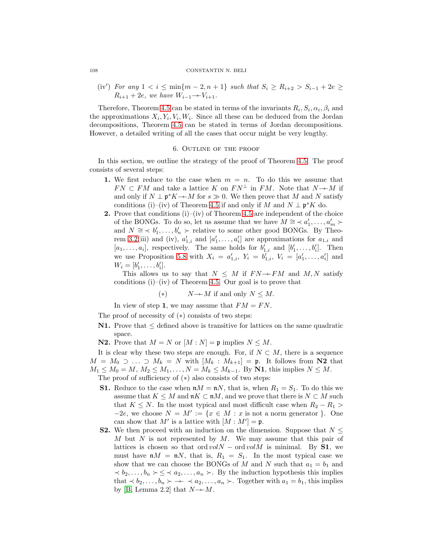#### 108 CONSTANTIN N. BELI

(iv') For any  $1 < i \leq \min\{m-2, n+1\}$  such that  $S_i \geq R_{i+2} > S_{i-1} + 2e \geq$  $R_{i+1}$  + 2e, we have  $W_{i-1}$  →  $V_{i+1}$ .

Therefore, Theorem [4.5](#page-5-0) can be stated in terms of the invariants  $R_i$ ,  $S_i$ ,  $\alpha_i$ ,  $\beta_i$  and the approximations  $X_i, Y_i, V_i, W_i$ . Since all these can be deduced from the Jordan decompositions, Theorem [4.5](#page-5-0) can be stated in terms of Jordan decompositions. However, a detailed writing of all the cases that occur might be very lengthy.

# 6. Outline of the proof

In this section, we outline the strategy of the proof of Theorem [4.5.](#page-5-0) The proof consists of several steps:

- **1.** We first reduce to the case when  $m = n$ . To do this we assume that  $FN \subset FM$  and take a lattice K on  $FN^{\perp}$  in  $FM$ . Note that  $N \rightarrow M$  if and only if  $N \perp p^s K \to M$  for  $s \gg 0$ . We then prove that M and N satisfy conditions (i)–(iv) of Theorem [4.5](#page-5-0) if and only if M and  $N \perp p^s K$  do.
- **2.** Prove that conditions (i)–(iv) of Theorem [4.5](#page-5-0) are independent of the choice of the BONGs. To do so, let us assume that we have  $M \cong \langle a'_1, \ldots, a'_m \rangle$ and  $N \cong \langle b'_1, \ldots, b'_n \rangle$  relative to some other good BONGs. By Theo-rem [3.2\(](#page-4-0)iii) and (iv),  $a'_{1,i}$  and  $[a'_1, \ldots, a'_i]$  are approximations for  $a_{1,i}$  and  $[a_1, \ldots, a_i]$ , respectively. The same holds for  $b'_{1,i}$  and  $[b'_1, \ldots, b'_i]$ . Then we use Proposition [5.8](#page-7-2) with  $X_i = a'_{1,i}, Y_i = b'_{1,i}, V_i = [a'_1, \ldots, a'_i]$  and  $W_i = [b'_1, \ldots, b'_i].$

This allows us to say that  $N \leq M$  if  $FN \rightarrow FM$  and  $M, N$  satisfy conditions  $(i)$ – $(iv)$  of Theorem [4.5.](#page-5-0) Our goal is to prove that

(\*)  $N \rightarrow M$  if and only  $N \leq M$ .

In view of step 1, we may assume that  $FM = FN$ .

The proof of necessity of  $(*)$  consists of two steps:

- **N1.** Prove that  $\leq$  defined above is transitive for lattices on the same quadratic space.
- **N2.** Prove that  $M = N$  or  $[M : N] = \mathfrak{p}$  implies  $N \leq M$ .

It is clear why these two steps are enough. For, if  $N \subset M$ , there is a sequence  $M = M_0 \supset \ldots \supset M_k = N$  with  $[M_k : M_{k+1}] = \mathfrak{p}$ . It follows from **N2** that  $M_1 \leq M_0 = M$ ,  $M_2 \leq M_1, \ldots, N = M_k \leq M_{k-1}$ . By **N1**, this implies  $N \leq M$ .

The proof of sufficiency of  $(*)$  also consists of two steps:

- **S1.** Reduce to the case when  $nM = nN$ , that is, when  $R_1 = S_1$ . To do this we assume that  $K \leq M$  and  $\mathfrak{n} K \subset \mathfrak{n} M$ , and we prove that there is  $N \subset M$  such that  $K \leq N$ . In the most typical and most difficult case when  $R_2 - R_1 >$  $-2e$ , we choose  $N = M' := \{x \in M : x \text{ is not a norm generator }\}.$  One can show that M' is a lattice with  $[M : M'] = \mathfrak{p}$ .
- **S2.** We then proceed with an induction on the dimension. Suppose that  $N \leq$  $M$  but  $N$  is not represented by  $M$ . We may assume that this pair of lattices is chosen so that ord  $volN - ord volM$  is minimal. By **S1**, we must have  $\mathfrak{n}M = \mathfrak{n}N$ , that is,  $R_1 = S_1$ . In the most typical case we show that we can choose the BONGs of M and N such that  $a_1 = b_1$  and  $\langle b_1,\ldots,b_n\rangle \leq \langle a_2,\ldots,a_n\rangle$ . By the induction hypothesis this implies that  $\langle b_2,\ldots,b_n \rangle \rightarrow \langle a_2,\ldots,a_n \rangle$ . Together with  $a_1 = b_1$ , this implies by [\[B,](#page-12-0) Lemma 2.2] that  $N \rightarrow M$ .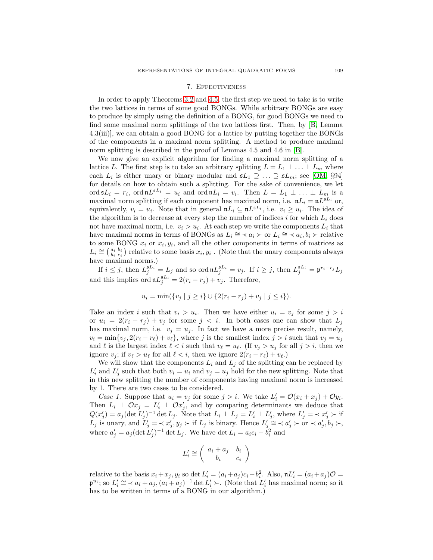### 7. Effectiveness

<span id="page-9-0"></span>In order to apply Theorems [3.2](#page-4-0) and [4.5,](#page-5-0) the first step we need to take is to write the two lattices in terms of some good BONGs. While arbitrary BONGs are easy to produce by simply using the definition of a BONG, for good BONGs we need to find some maximal norm splittings of the two lattices first. Then, by [\[B,](#page-12-0) Lemma 4.3(iii)], we can obtain a good BONG for a lattice by putting together the BONGs of the components in a maximal norm splitting. A method to produce maximal norm splitting is described in the proof of Lemmas 4.5 and 4.6 in [\[B\]](#page-12-0).

We now give an explicit algorithm for finding a maximal norm splitting of a lattice L. The first step is to take an arbitrary splitting  $L = L_1 \perp ... \perp L_m$  where each  $L_i$  is either unary or binary modular and  $\mathfrak{s}L_1 \supseteq \ldots \supseteq \mathfrak{s}L_m$ ; see [\[OM,](#page-12-3) §94] for details on how to obtain such a splitting. For the sake of convenience, we let ord  $\mathfrak{s}L_i = r_i$ , ord  $\mathfrak{n}L^{\mathfrak{s}L_i} = u_i$  and ord  $\mathfrak{n}L_i = v_i$ . Then  $L = L_1 \perp ... \perp L_m$  is a maximal norm splitting if each component has maximal norm, i.e.  $nL_i = nL^{sL_i}$  or, equivalently,  $v_i = u_i$ . Note that in general  $nL_i \subseteq nL^{sL_i}$ , i.e.  $v_i \geq u_i$ . The idea of the algorithm is to decrease at every step the number of indices  $i$  for which  $L_i$  does not have maximal norm, i.e.  $v_i > u_i$ . At each step we write the components  $L_i$  that have maximal norms in terms of BONGs as  $L_i \cong \langle a_i \rangle$  or  $L_i \cong \langle a_i, b_i \rangle$  relative to some BONG  $x_i$  or  $x_i, y_i$ , and all the other components in terms of matrices as  $L_i \cong \begin{pmatrix} a_i & b_i \\ b_i & c_i \end{pmatrix}$  relative to some basis  $x_i, y_i$ . (Note that the unary components always have maximal norms.)

If  $i \leq j$ , then  $L_j^{\mathfrak{s}L_i} = L_j$  and so ord  $\mathfrak{n}L_j^{\mathfrak{s}L_i} = v_j$ . If  $i \geq j$ , then  $L_j^{\mathfrak{s}L_i} = \mathfrak{p}^{r_i - r_j} L_j$ and this implies ord  $nL_j^{sL_i} = 2(r_i - r_j) + v_j$ . Therefore,

$$
u_i = \min(\{v_j \mid j \ge i\} \cup \{2(r_i - r_j) + v_j \mid j \le i\}).
$$

Take an index i such that  $v_i > u_i$ . Then we have either  $u_i = v_j$  for some  $j > i$ or  $u_i = 2(r_i - r_j) + v_j$  for some  $j < i$ . In both cases one can show that  $L_j$ has maximal norm, i.e.  $v_j = u_j$ . In fact we have a more precise result, namely,  $v_i = \min\{v_j, 2(r_i - r_\ell) + v_\ell\}$ , where j is the smallest index  $j > i$  such that  $v_j = u_j$ and  $\ell$  is the largest index  $\ell < i$  such that  $v_{\ell} = u_{\ell}$ . (If  $v_j > u_j$  for all  $j > i$ , then we ignore  $v_j$ ; if  $v_\ell > u_\ell$  for all  $\ell < i$ , then we ignore  $2(r_i - r_\ell) + v_\ell$ .)

We will show that the components  $L_i$  and  $L_j$  of the splitting can be replaced by  $L'_i$  and  $L'_j$  such that both  $v_i = u_i$  and  $v_j = u_j$  hold for the new splitting. Note that in this new splitting the number of components having maximal norm is increased by 1. There are two cases to be considered.

Case 1. Suppose that  $u_i = v_j$  for some  $j > i$ . We take  $L'_i = \mathcal{O}(x_i + x_j) + \mathcal{O}y_i$ . Then  $L_i \perp \mathcal{O}x_j = L'_i \perp \mathcal{O}x'_j$ , and by comparing determinants we deduce that  $Q(x'_j) = a_j (\det L'_j)^{-1} \det L_j$ . Note that  $L_i \perp L_j = L'_i \perp L'_j$ , where  $L'_j = \langle x'_j \rangle$  if  $L_j$  is unary, and  $L'_j = \langle x'_j, y_j \rangle$  if  $L_j$  is binary. Hence  $L'_j \cong \langle a'_j \rangle \langle a_j, b_j \rangle$ , where  $a'_j = a_j (\det L'_j)^{-1} \det L_j$ . We have  $\det L_i = a_i c_i - b_i^2$  and

$$
L'_i \cong \left( \begin{array}{cc} a_i + a_j & b_i \\ b_i & c_i \end{array} \right)
$$

relative to the basis  $x_i + x_j$ ,  $y_i$  so det  $L'_i = (a_i + a_j)c_i - b_i^2$ . Also,  $\mathfrak{n}L'_i = (a_i + a_j)\mathcal{O} =$  $\mathfrak{p}^{u_i}$ ; so  $L'_i \cong \langle a_i + a_j, (a_i + a_j)^{-1} \det L'_i \rangle$ . (Note that  $L'_i$  has maximal norm; so it has to be written in terms of a BONG in our algorithm.)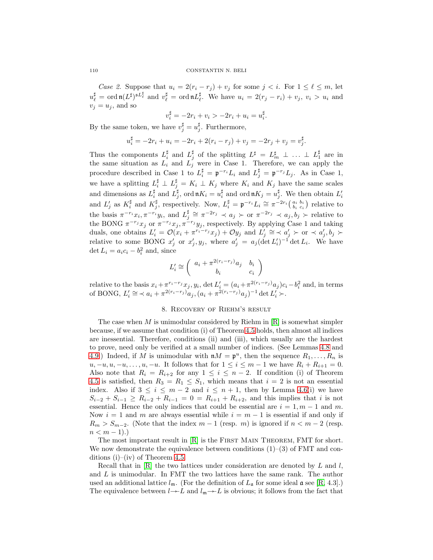Case 2. Suppose that  $u_i = 2(r_i - r_j) + v_j$  for some  $j < i$ . For  $1 \leq \ell \leq m$ , let  $u_{\ell}^{\sharp} = \text{ord}\,\mathfrak{n}(L^{\sharp})^{sL_{\ell}^{\sharp}}$  and  $v_{\ell}^{\sharp} = \text{ord}\,\mathfrak{n}L_{\ell}^{\sharp}$ . We have  $u_i = 2(r_j - r_i) + v_j$ ,  $v_i > u_i$  and  $v_j = u_j$ , and so

$$
v_i^{\sharp} = -2r_i + v_i > -2r_i + u_i = u_i^{\sharp}.
$$

By the same token, we have  $v_j^{\sharp} = u_j^{\sharp}$ . Furthermore,

$$
u_i^{\sharp} = -2r_i + u_i = -2r_i + 2(r_i - r_j) + v_j = -2r_j + v_j = v_j^{\sharp}.
$$

Thus the components  $L_i^{\sharp}$  and  $L_j^{\sharp}$  of the splitting  $L^{\sharp} = L_m^{\sharp} \perp ... \perp L_1^{\sharp}$  are in the same situation as  $L_i$  and  $L_j$  were in Case 1. Therefore, we can apply the procedure described in Case 1 to  $L_i^{\sharp} = \mathfrak{p}^{-r_i} L_i$  and  $L_j^{\sharp} = \mathfrak{p}^{-r_j} L_j$ . As in Case 1, we have a splitting  $L_i^{\sharp} \perp L_j^{\sharp} = K_i \perp K_j$  where  $K_i$  and  $K_j$  have the same scales and dimensions as  $L_i^{\sharp}$  and  $L_j^{\sharp}$ , ord  $\mathfrak{n}K_i = u_i^{\sharp}$  and ord  $\mathfrak{n}K_j = u_j^{\sharp}$ . We then obtain  $L_i'$ and  $L'_j$  as  $K_i^{\sharp}$  and  $K_j^{\sharp}$ , respectively. Now,  $L_i^{\sharp} = \mathfrak{p}^{-r_i} L_i \cong \pi^{-2r_i} \left( \begin{smallmatrix} a_i & b_i \\ b_i & c_i \end{smallmatrix} \right)$  relative to the basis  $\pi^{-r_i}x_i, \pi^{-r_i}y_i$ , and  $L_j^{\sharp} \cong \pi^{-2r_j} \prec a_j \succ \text{or } \pi^{-2r_j} \prec a_j, b_j \succ \text{relative to}$ the BONG  $\pi^{-r_j} x_j$  or  $\pi^{-r_j} x_j$ ,  $\pi^{-r_j} y_j$ , respectively. By applying Case 1 and taking duals, one obtains  $L'_i = \mathcal{O}(x_i + \pi^{r_i - r_j} x_j) + \mathcal{O}y_j$  and  $L'_j \cong \langle a'_j \rangle \to \text{or } \langle a'_j, b_j \rangle$ relative to some BONG  $x'_j$  or  $x'_j, y_j$ , where  $a'_j = a_j (\det L'_i)^{-1} \det L_i$ . We have det  $L_i = a_i c_i - b_i^2$  and, since

$$
L'_{i} \cong \left( \begin{array}{cc} a_{i} + \pi^{2(r_{i} - r_{j})} a_{j} & b_{i} \\ b_{i} & c_{i} \end{array} \right)
$$

relative to the basis  $x_i + \pi^{r_i - r_j} x_j$ ,  $y_i$ ,  $\det L'_i = (a_i + \pi^{2(r_i - r_j)} a_j) c_i - b_i^2$  and, in terms of BONG,  $L'_i \cong \langle a_i + \pi^{2(r_i - r_j)} a_j, (a_i + \pi^{2(r_i - r_j)} a_j)^{-1} \det L'_i \rangle.$ 

### 8. Recovery of Riehm's result

The case when  $M$  is unimodular considered by Riehm in  $[R]$  is somewhat simpler because, if we assume that condition (i) of Theorem [4.5](#page-5-0) holds, then almost all indices are inessential. Therefore, conditions (ii) and (iii), which usually are the hardest to prove, need only be verified at a small number of indices. (See Lemmas [4.8](#page-6-0) and [4.9.](#page-6-1)) Indeed, if M is unimodular with  $\mathfrak{n}M = \mathfrak{p}^u$ , then the sequence  $R_1, \ldots, R_n$  is  $u, -u, u, -u, \ldots, u, -u$ . It follows that for  $1 \leq i \leq m-1$  we have  $R_i + R_{i+1} = 0$ . Also note that  $R_i = R_{i+2}$  for any  $1 \leq i \leq n-2$ . If condition (i) of Theorem [4.5](#page-5-0) is satisfied, then  $R_3 = R_1 \leq S_1$ , which means that  $i = 2$  is not an essential index. Also if  $3 \leq i \leq m-2$  and  $i \leq n+1$ , then by Lemma [4.6\(](#page-5-2)i) we have  $S_{i-2} + S_{i-1} \geq R_{i-2} + R_{i-1} = 0 = R_{i+1} + R_{i+2}$ , and this implies that i is not essential. Hence the only indices that could be essential are  $i = 1, m - 1$  and m. Now  $i = 1$  and m are always essential while  $i = m - 1$  is essential if and only if  $R_m > S_{m-2}$ . (Note that the index  $m-1$  (resp. m) is ignored if  $n < m-2$  (resp.  $n < m - 1$ ).)

The most important result in [\[R\]](#page-12-2) is the FIRST MAIN THEOREM, FMT for short. We now demonstrate the equivalence between conditions  $(1)$ – $(3)$  of FMT and con-ditions (i)–(iv) of Theorem [4.5.](#page-5-0)

Recall that in  $|R|$  the two lattices under consideration are denoted by L and l, and  $L$  is unimodular. In FMT the two lattices have the same rank. The author used an additional lattice  $l_m$ . (For the definition of  $L_a$  for some ideal  $\alpha$  see [\[R,](#page-12-2) 4.3].) The equivalence between  $l\rightarrow L$  and  $l_{\mathfrak{m}}\rightarrow L$  is obvious; it follows from the fact that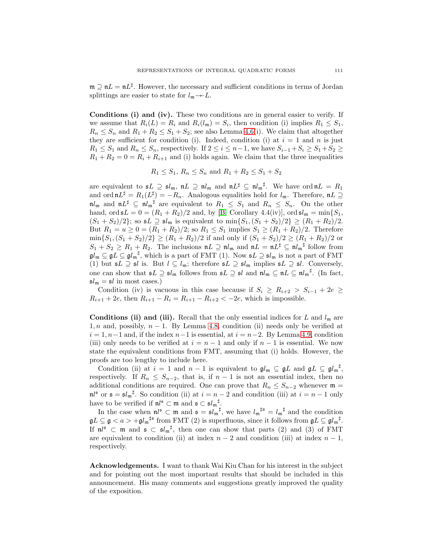$\mathfrak{m} \supseteq \mathfrak{n} L = \mathfrak{n} L^{\sharp}$ . However, the necessary and sufficient conditions in terms of Jordan splittings are easier to state for  $l_m\rightarrow L$ .

**Conditions (i) and (iv).** These two conditions are in general easier to verify. If we assume that  $R_i(L) = R_i$  and  $R_i(l_m) = S_i$ , then condition (i) implies  $R_1 \leq S_1$ ,  $R_n \leq S_n$  and  $R_1 + R_2 \leq S_1 + S_2$ ; see also Lemma [4.6\(](#page-5-2)i). We claim that altogether they are sufficient for condition (i). Indeed, condition (i) at  $i = 1$  and n is just  $R_1 \leq S_1$  and  $R_n \leq S_n$ , respectively. If  $2 \leq i \leq n-1$ , we have  $S_{i-1}+S_i \geq S_1+S_2 \geq$  $R_1 + R_2 = 0 = R_i + R_{i+1}$  and (i) holds again. We claim that the three inequalities

$$
R_1 \leq S_1
$$
,  $R_n \leq S_n$  and  $R_1 + R_2 \leq S_1 + S_2$ 

are equivalent to  $\mathfrak{s}L \supseteq \mathfrak{s}l_{\mathfrak{m}}$ ,  $\mathfrak{n}L \supseteq \mathfrak{n}l_{\mathfrak{m}}$  and  $\mathfrak{n}L^{\sharp} \subseteq \mathfrak{n}l_{\mathfrak{m}}^{\sharp}$ . We have ord  $\mathfrak{n}L = R_1$ and ord  $nL^{\sharp} = R_1(L^{\sharp}) = -R_n$ . Analogous equalities hold for  $l_m$ . Therefore,  $nL \supseteq$  $n l_m$  and  $n L^{\sharp} \subseteq n l_m^{\sharp}$  are equivalent to  $R_1 \subseteq S_1$  and  $R_n \subseteq S_n$ . On the other hand, ord  $\mathfrak{s}L = 0 = (R_1 + R_2)/2$  and, by [\[B,](#page-12-0) Corollary 4.4(iv)], ord  $\mathfrak{s}l_{\mathfrak{m}} = \min\{S_1,$  $(S_1 + S_2)/2$ ; so  $\mathfrak{s}L \supseteq \mathfrak{s}l_m$  is equivalent to  $\min\{S_1, (S_1 + S_2)/2\} \ge (R_1 + R_2)/2$ . But  $R_1 = u \ge 0 = (R_1 + R_2)/2$ ; so  $R_1 \le S_1$  implies  $S_1 \ge (R_1 + R_2)/2$ . Therefore  $\min\{S_1,(S_1 + S_2)/2\} \ge (R_1 + R_2)/2$  if and only if  $(S_1 + S_2)/2 \ge (R_1 + R_2)/2$  or  $S_1 + S_2 \ge R_1 + R_2$ . The inclusions  $nL \supseteq n l_m$  and  $nL = nL^{\sharp} \subseteq n l_m^{\sharp}$  follow from  $\mathfrak{gl}_m\subseteq \mathfrak{g} L\subseteq \mathfrak{gl}_m^{\sharp}$ , which is a part of FMT (1). Now  $\mathfrak{s} L\supseteq \mathfrak{s} l_m$  is not a part of FMT (1) but  $\mathfrak{s}L \supseteq \mathfrak{s}l$  is. But  $l \subseteq l_{\mathfrak{m}}$ ; therefore  $\mathfrak{s}L \supseteq \mathfrak{s}l_{\mathfrak{m}}$  implies  $\mathfrak{s}L \supseteq \mathfrak{s}l$ . Conversely, one can show that  $\mathfrak{s}L \supseteq \mathfrak{s}l_{\mathfrak{m}}$  follows from  $\mathfrak{s}L \supseteq \mathfrak{s}l$  and  $\mathfrak{n}l_{\mathfrak{m}} \subseteq \mathfrak{n}L \subseteq \mathfrak{n}l_{\mathfrak{m}}^{\sharp}$ . (In fact,  $sl_{m} = sl$  in most cases.)

Condition (iv) is vacuous in this case because if  $S_i \geq R_{i+2} > S_{i-1} + 2e \geq$  $R_{i+1} + 2e$ , then  $R_{i+1} - R_i = R_{i+1} - R_{i+2} < -2e$ , which is impossible.

**Conditions (ii) and (iii).** Recall that the only essential indices for L and  $l_m$  are 1, n and, possibly,  $n-1$ . By Lemma [4.8,](#page-6-0) condition (ii) needs only be verified at  $i = 1, n-1$  and, if the index  $n-1$  is essential, at  $i = n-2$ . By Lemma [4.9,](#page-6-1) condition (iii) only needs to be verified at  $i = n - 1$  and only if  $n - 1$  is essential. We now state the equivalent conditions from FMT, assuming that (i) holds. However, the proofs are too lengthy to include here.

Condition (ii) at  $i = 1$  and  $n - 1$  is equivalent to  $\mathfrak{gl}_m \subseteq \mathfrak{gl}_m$  and  $\mathfrak{gl}_m \subseteq \mathfrak{gl}_m^{\sharp}$ , respectively. If  $R_n \leq S_{n-2}$ , that is, if  $n-1$  is not an essential index, then no additional conditions are required. One can prove that  $R_n \leq S_{n-2}$  whenever  $\mathfrak{m} =$  $\mathfrak{n}^{l\mathfrak{s}}$  or  $\mathfrak{s} = \mathfrak{s}l_{\mathfrak{m}}^{\sharp}$ . So condition (ii) at  $i = n - 2$  and condition (iii) at  $i = n - 1$  only have to be verified if  $\mathfrak{n} \mathfrak{l}^{\mathfrak{s}} \subset \mathfrak{m}$  and  $\mathfrak{s} \subset \mathfrak{sl}_m^{\sharp}$ .

In the case when  $nl^5 \text{ }\subset \text{ }m$  and  $\mathfrak{s} = sl_m^{\sharp}$ , we have  $l_m^{\sharp\sharp s} = l_m^{\sharp}$  and the condition  $\n  $\mathfrak{g}L \subseteq \mathfrak{g} < a > +\mathfrak{gl}_m^{\sharp\mathfrak{s}}$  from FMT (2) is superfluous, since it follows from  $\mathfrak{g}L \subseteq \mathfrak{gl}_m^{\sharp}$ .$ If  $\mathfrak{n}l^{\mathfrak{s}} \subset \mathfrak{m}$  and  $\mathfrak{s} \subset \mathfrak{sl}_m^{\sharp}$ , then one can show that parts (2) and (3) of FMT are equivalent to condition (ii) at index  $n-2$  and condition (iii) at index  $n-1$ , respectively.

**Acknowledgements.** I want to thank Wai Kiu Chan for his interest in the subject and for pointing out the most important results that should be included in this announcement. His many comments and suggestions greatly improved the quality of the exposition.